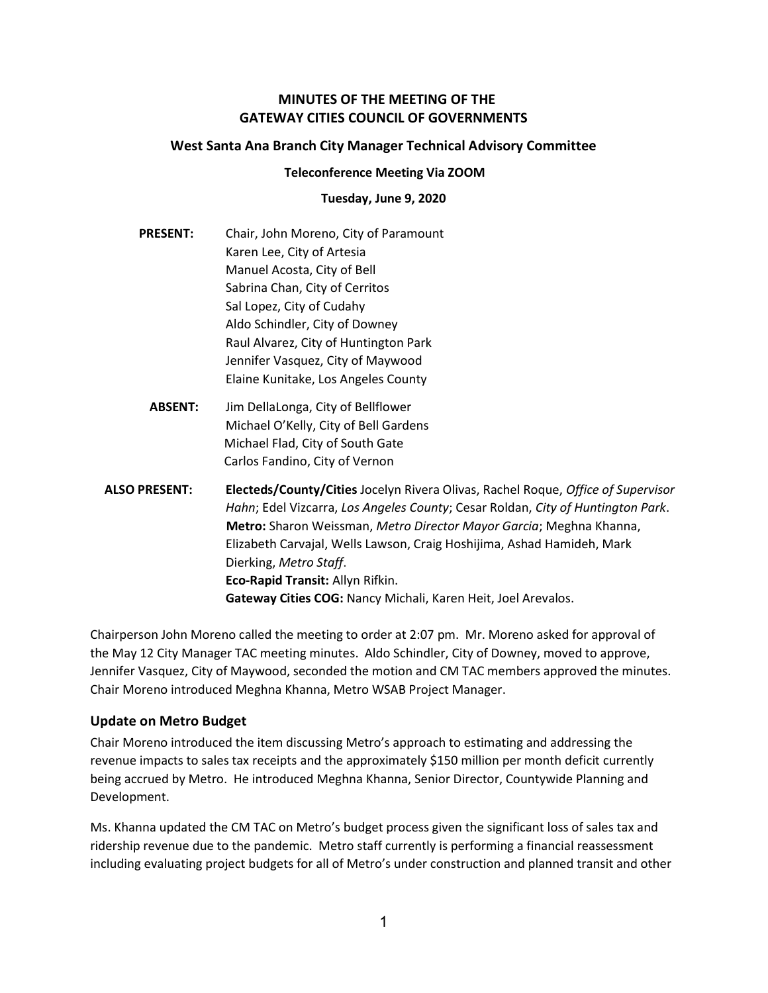## MINUTES OF THE MEETING OF THE GATEWAY CITIES COUNCIL OF GOVERNMENTS

#### West Santa Ana Branch City Manager Technical Advisory Committee

#### Teleconference Meeting Via ZOOM

#### Tuesday, June 9, 2020

- PRESENT: Chair, John Moreno, City of Paramount Karen Lee, City of Artesia Manuel Acosta, City of Bell Sabrina Chan, City of Cerritos Sal Lopez, City of Cudahy Aldo Schindler, City of Downey Raul Alvarez, City of Huntington Park Jennifer Vasquez, City of Maywood Elaine Kunitake, Los Angeles County
	- ABSENT: Jim DellaLonga, City of Bellflower Michael O'Kelly, City of Bell Gardens Michael Flad, City of South Gate Carlos Fandino, City of Vernon
- ALSO PRESENT: Electeds/County/Cities Jocelyn Rivera Olivas, Rachel Roque, Office of Supervisor Hahn; Edel Vizcarra, Los Angeles County; Cesar Roldan, City of Huntington Park. Metro: Sharon Weissman, Metro Director Mayor Garcia; Meghna Khanna, Elizabeth Carvajal, Wells Lawson, Craig Hoshijima, Ashad Hamideh, Mark Dierking, Metro Staff. Eco-Rapid Transit: Allyn Rifkin. Gateway Cities COG: Nancy Michali, Karen Heit, Joel Arevalos.

Chairperson John Moreno called the meeting to order at 2:07 pm. Mr. Moreno asked for approval of the May 12 City Manager TAC meeting minutes. Aldo Schindler, City of Downey, moved to approve, Jennifer Vasquez, City of Maywood, seconded the motion and CM TAC members approved the minutes. Chair Moreno introduced Meghna Khanna, Metro WSAB Project Manager.

## Update on Metro Budget

Chair Moreno introduced the item discussing Metro's approach to estimating and addressing the revenue impacts to sales tax receipts and the approximately \$150 million per month deficit currently being accrued by Metro. He introduced Meghna Khanna, Senior Director, Countywide Planning and Development.

Ms. Khanna updated the CM TAC on Metro's budget process given the significant loss of sales tax and ridership revenue due to the pandemic. Metro staff currently is performing a financial reassessment including evaluating project budgets for all of Metro's under construction and planned transit and other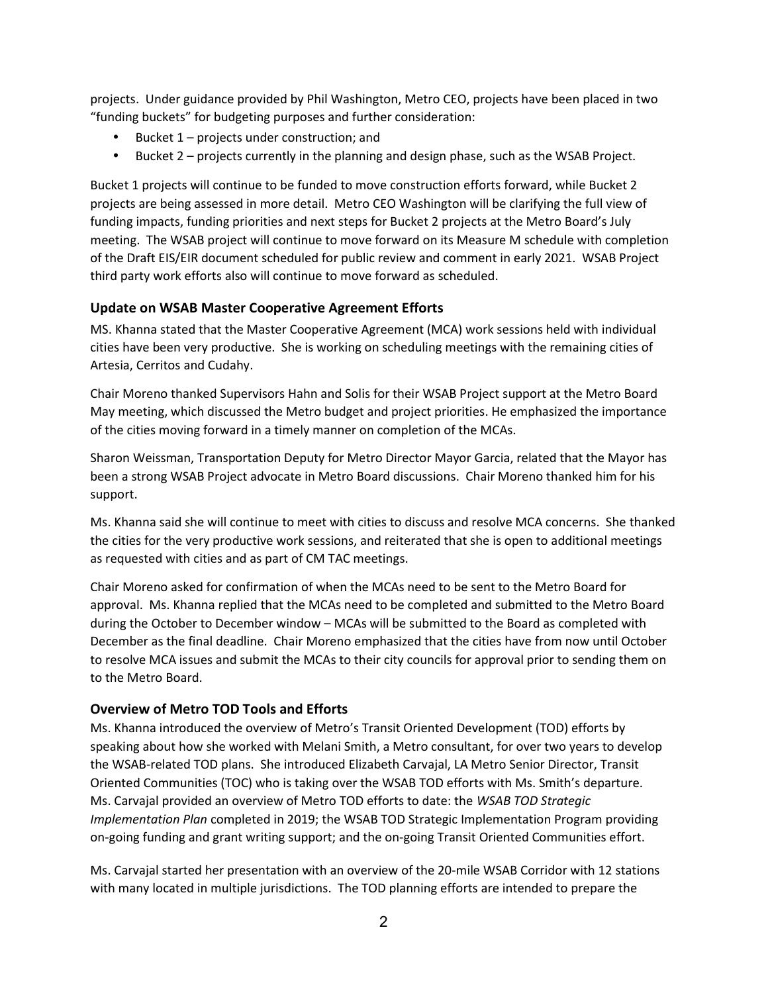projects. Under guidance provided by Phil Washington, Metro CEO, projects have been placed in two "funding buckets" for budgeting purposes and further consideration:

- Bucket 1 projects under construction; and
- Bucket 2 projects currently in the planning and design phase, such as the WSAB Project.

Bucket 1 projects will continue to be funded to move construction efforts forward, while Bucket 2 projects are being assessed in more detail. Metro CEO Washington will be clarifying the full view of funding impacts, funding priorities and next steps for Bucket 2 projects at the Metro Board's July meeting. The WSAB project will continue to move forward on its Measure M schedule with completion of the Draft EIS/EIR document scheduled for public review and comment in early 2021. WSAB Project third party work efforts also will continue to move forward as scheduled.

# Update on WSAB Master Cooperative Agreement Efforts

MS. Khanna stated that the Master Cooperative Agreement (MCA) work sessions held with individual cities have been very productive. She is working on scheduling meetings with the remaining cities of Artesia, Cerritos and Cudahy.

Chair Moreno thanked Supervisors Hahn and Solis for their WSAB Project support at the Metro Board May meeting, which discussed the Metro budget and project priorities. He emphasized the importance of the cities moving forward in a timely manner on completion of the MCAs.

Sharon Weissman, Transportation Deputy for Metro Director Mayor Garcia, related that the Mayor has been a strong WSAB Project advocate in Metro Board discussions. Chair Moreno thanked him for his support.

Ms. Khanna said she will continue to meet with cities to discuss and resolve MCA concerns. She thanked the cities for the very productive work sessions, and reiterated that she is open to additional meetings as requested with cities and as part of CM TAC meetings.

Chair Moreno asked for confirmation of when the MCAs need to be sent to the Metro Board for approval. Ms. Khanna replied that the MCAs need to be completed and submitted to the Metro Board during the October to December window – MCAs will be submitted to the Board as completed with December as the final deadline. Chair Moreno emphasized that the cities have from now until October to resolve MCA issues and submit the MCAs to their city councils for approval prior to sending them on to the Metro Board.

## Overview of Metro TOD Tools and Efforts

Ms. Khanna introduced the overview of Metro's Transit Oriented Development (TOD) efforts by speaking about how she worked with Melani Smith, a Metro consultant, for over two years to develop the WSAB-related TOD plans. She introduced Elizabeth Carvajal, LA Metro Senior Director, Transit Oriented Communities (TOC) who is taking over the WSAB TOD efforts with Ms. Smith's departure. Ms. Carvajal provided an overview of Metro TOD efforts to date: the WSAB TOD Strategic Implementation Plan completed in 2019; the WSAB TOD Strategic Implementation Program providing on-going funding and grant writing support; and the on-going Transit Oriented Communities effort.

Ms. Carvajal started her presentation with an overview of the 20-mile WSAB Corridor with 12 stations with many located in multiple jurisdictions. The TOD planning efforts are intended to prepare the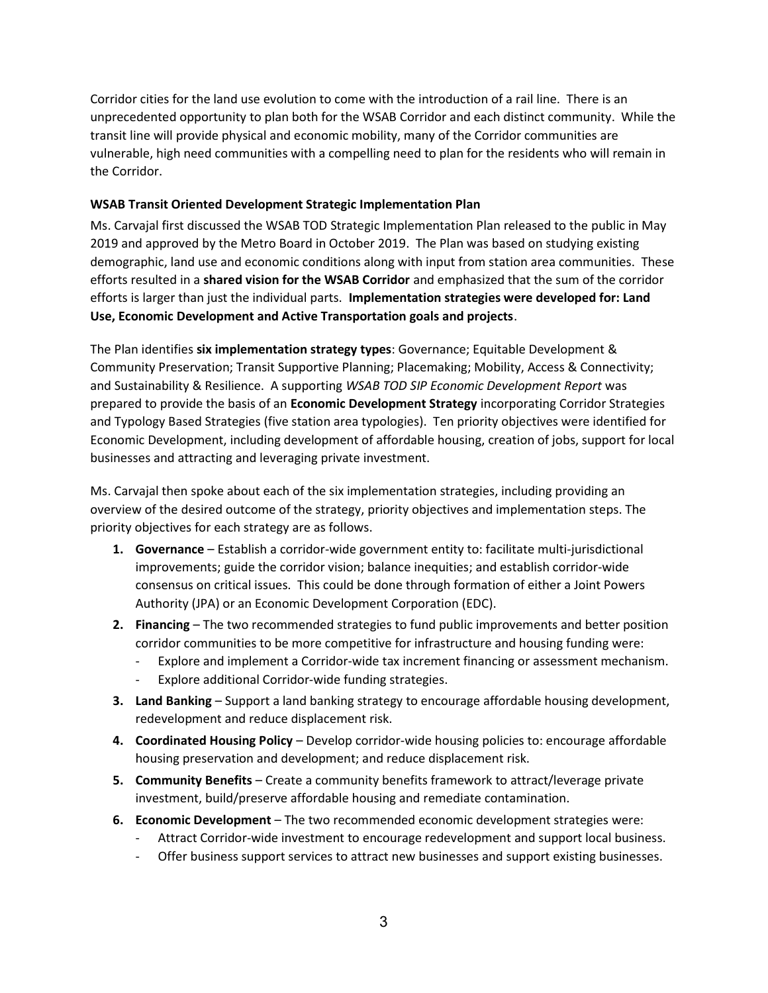Corridor cities for the land use evolution to come with the introduction of a rail line. There is an unprecedented opportunity to plan both for the WSAB Corridor and each distinct community. While the transit line will provide physical and economic mobility, many of the Corridor communities are vulnerable, high need communities with a compelling need to plan for the residents who will remain in the Corridor.

#### WSAB Transit Oriented Development Strategic Implementation Plan

Ms. Carvajal first discussed the WSAB TOD Strategic Implementation Plan released to the public in May 2019 and approved by the Metro Board in October 2019. The Plan was based on studying existing demographic, land use and economic conditions along with input from station area communities. These efforts resulted in a shared vision for the WSAB Corridor and emphasized that the sum of the corridor efforts is larger than just the individual parts. Implementation strategies were developed for: Land Use, Economic Development and Active Transportation goals and projects.

The Plan identifies six implementation strategy types: Governance; Equitable Development & Community Preservation; Transit Supportive Planning; Placemaking; Mobility, Access & Connectivity; and Sustainability & Resilience. A supporting WSAB TOD SIP Economic Development Report was prepared to provide the basis of an Economic Development Strategy incorporating Corridor Strategies and Typology Based Strategies (five station area typologies). Ten priority objectives were identified for Economic Development, including development of affordable housing, creation of jobs, support for local businesses and attracting and leveraging private investment.

Ms. Carvajal then spoke about each of the six implementation strategies, including providing an overview of the desired outcome of the strategy, priority objectives and implementation steps. The priority objectives for each strategy are as follows.

- **1.** Governance Establish a corridor-wide government entity to: facilitate multi-jurisdictional improvements; guide the corridor vision; balance inequities; and establish corridor-wide consensus on critical issues. This could be done through formation of either a Joint Powers Authority (JPA) or an Economic Development Corporation (EDC).
- 2. Financing The two recommended strategies to fund public improvements and better position corridor communities to be more competitive for infrastructure and housing funding were:
	- Explore and implement a Corridor-wide tax increment financing or assessment mechanism.
	- Explore additional Corridor-wide funding strategies.
- 3. Land Banking Support a land banking strategy to encourage affordable housing development, redevelopment and reduce displacement risk.
- 4. Coordinated Housing Policy Develop corridor-wide housing policies to: encourage affordable housing preservation and development; and reduce displacement risk.
- 5. Community Benefits Create a community benefits framework to attract/leverage private investment, build/preserve affordable housing and remediate contamination.
- 6. Economic Development The two recommended economic development strategies were:
	- Attract Corridor-wide investment to encourage redevelopment and support local business.
	- Offer business support services to attract new businesses and support existing businesses.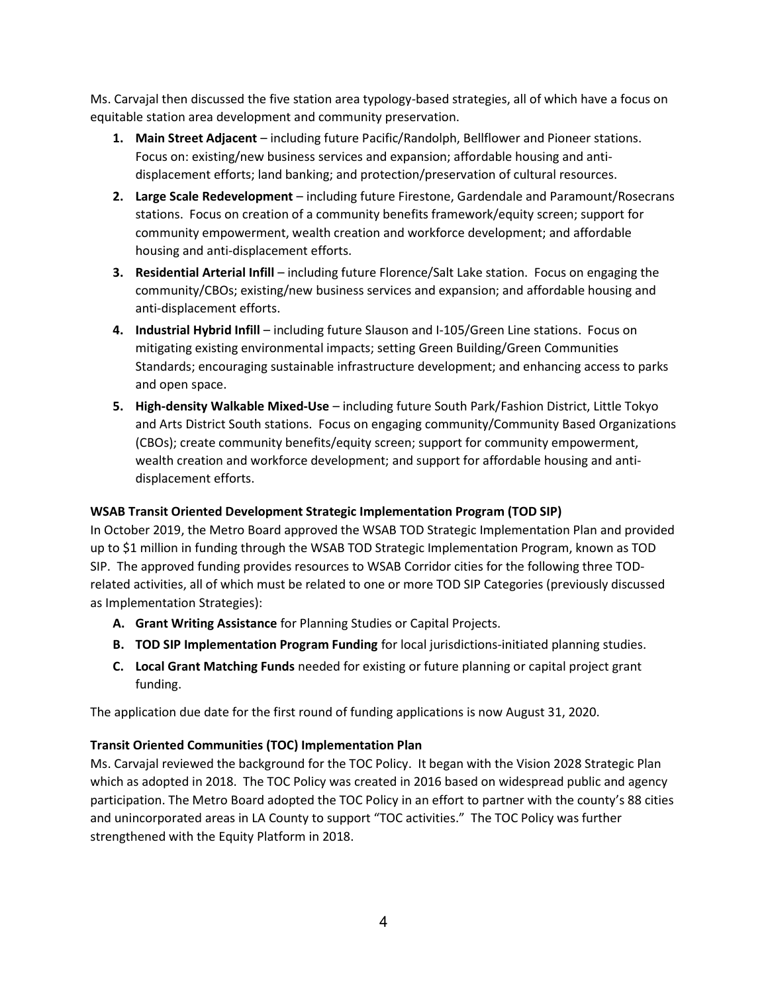Ms. Carvajal then discussed the five station area typology-based strategies, all of which have a focus on equitable station area development and community preservation.

- 1. Main Street Adjacent including future Pacific/Randolph, Bellflower and Pioneer stations. Focus on: existing/new business services and expansion; affordable housing and antidisplacement efforts; land banking; and protection/preservation of cultural resources.
- 2. Large Scale Redevelopment including future Firestone, Gardendale and Paramount/Rosecrans stations. Focus on creation of a community benefits framework/equity screen; support for community empowerment, wealth creation and workforce development; and affordable housing and anti-displacement efforts.
- 3. Residential Arterial Infill including future Florence/Salt Lake station. Focus on engaging the community/CBOs; existing/new business services and expansion; and affordable housing and anti-displacement efforts.
- 4. Industrial Hybrid Infill including future Slauson and I-105/Green Line stations. Focus on mitigating existing environmental impacts; setting Green Building/Green Communities Standards; encouraging sustainable infrastructure development; and enhancing access to parks and open space.
- 5. High-density Walkable Mixed-Use including future South Park/Fashion District, Little Tokyo and Arts District South stations. Focus on engaging community/Community Based Organizations (CBOs); create community benefits/equity screen; support for community empowerment, wealth creation and workforce development; and support for affordable housing and antidisplacement efforts.

## WSAB Transit Oriented Development Strategic Implementation Program (TOD SIP)

In October 2019, the Metro Board approved the WSAB TOD Strategic Implementation Plan and provided up to \$1 million in funding through the WSAB TOD Strategic Implementation Program, known as TOD SIP. The approved funding provides resources to WSAB Corridor cities for the following three TODrelated activities, all of which must be related to one or more TOD SIP Categories (previously discussed as Implementation Strategies):

- A. Grant Writing Assistance for Planning Studies or Capital Projects.
- **B. TOD SIP Implementation Program Funding** for local jurisdictions-initiated planning studies.
- C. Local Grant Matching Funds needed for existing or future planning or capital project grant funding.

The application due date for the first round of funding applications is now August 31, 2020.

## Transit Oriented Communities (TOC) Implementation Plan

Ms. Carvajal reviewed the background for the TOC Policy. It began with the Vision 2028 Strategic Plan which as adopted in 2018. The TOC Policy was created in 2016 based on widespread public and agency participation. The Metro Board adopted the TOC Policy in an effort to partner with the county's 88 cities and unincorporated areas in LA County to support "TOC activities." The TOC Policy was further strengthened with the Equity Platform in 2018.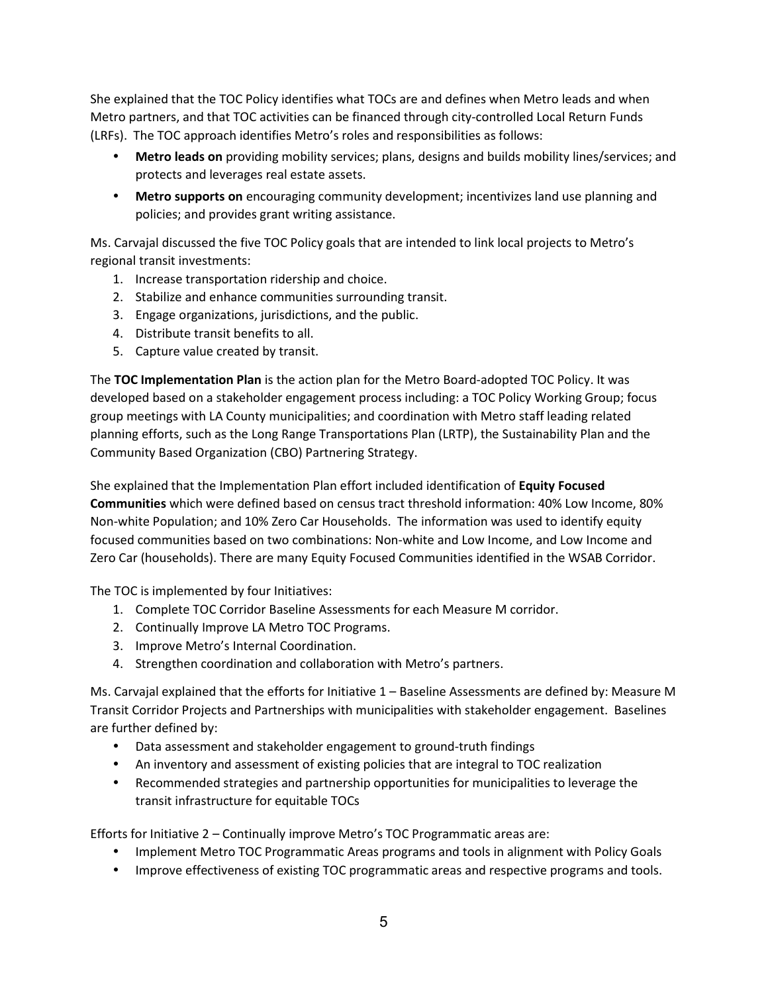She explained that the TOC Policy identifies what TOCs are and defines when Metro leads and when Metro partners, and that TOC activities can be financed through city-controlled Local Return Funds (LRFs). The TOC approach identifies Metro's roles and responsibilities as follows:

- Metro leads on providing mobility services; plans, designs and builds mobility lines/services; and protects and leverages real estate assets.
- **Metro supports on** encouraging community development; incentivizes land use planning and policies; and provides grant writing assistance.

Ms. Carvajal discussed the five TOC Policy goals that are intended to link local projects to Metro's regional transit investments:

- 1. Increase transportation ridership and choice.
- 2. Stabilize and enhance communities surrounding transit.
- 3. Engage organizations, jurisdictions, and the public.
- 4. Distribute transit benefits to all.
- 5. Capture value created by transit.

The TOC Implementation Plan is the action plan for the Metro Board-adopted TOC Policy. It was developed based on a stakeholder engagement process including: a TOC Policy Working Group; focus group meetings with LA County municipalities; and coordination with Metro staff leading related planning efforts, such as the Long Range Transportations Plan (LRTP), the Sustainability Plan and the Community Based Organization (CBO) Partnering Strategy.

She explained that the Implementation Plan effort included identification of Equity Focused Communities which were defined based on census tract threshold information: 40% Low Income, 80% Non-white Population; and 10% Zero Car Households. The information was used to identify equity focused communities based on two combinations: Non-white and Low Income, and Low Income and Zero Car (households). There are many Equity Focused Communities identified in the WSAB Corridor.

The TOC is implemented by four Initiatives:

- 1. Complete TOC Corridor Baseline Assessments for each Measure M corridor.
- 2. Continually Improve LA Metro TOC Programs.
- 3. Improve Metro's Internal Coordination.
- 4. Strengthen coordination and collaboration with Metro's partners.

Ms. Carvajal explained that the efforts for Initiative 1 – Baseline Assessments are defined by: Measure M Transit Corridor Projects and Partnerships with municipalities with stakeholder engagement. Baselines are further defined by:

- Data assessment and stakeholder engagement to ground-truth findings
- An inventory and assessment of existing policies that are integral to TOC realization
- Recommended strategies and partnership opportunities for municipalities to leverage the transit infrastructure for equitable TOCs

Efforts for Initiative 2 – Continually improve Metro's TOC Programmatic areas are:

- Implement Metro TOC Programmatic Areas programs and tools in alignment with Policy Goals
- Improve effectiveness of existing TOC programmatic areas and respective programs and tools.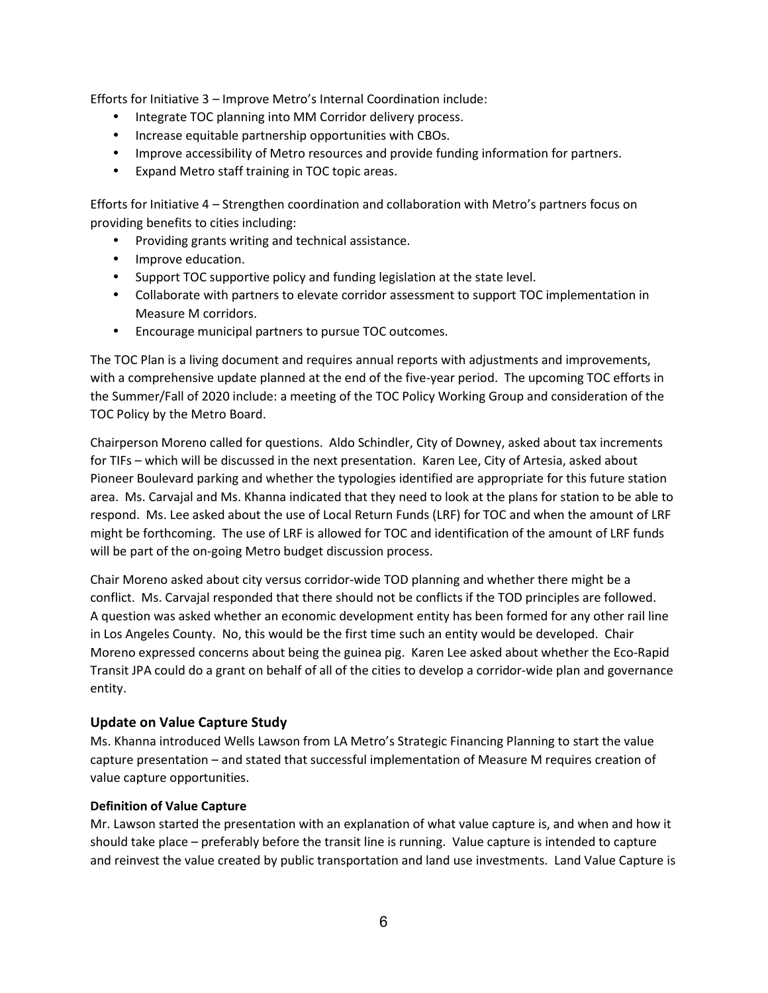Efforts for Initiative 3 – Improve Metro's Internal Coordination include:

- Integrate TOC planning into MM Corridor delivery process.
- Increase equitable partnership opportunities with CBOs.
- Improve accessibility of Metro resources and provide funding information for partners.
- Expand Metro staff training in TOC topic areas.

Efforts for Initiative 4 – Strengthen coordination and collaboration with Metro's partners focus on providing benefits to cities including:

- Providing grants writing and technical assistance.
- Improve education.
- Support TOC supportive policy and funding legislation at the state level.
- Collaborate with partners to elevate corridor assessment to support TOC implementation in Measure M corridors.
- Encourage municipal partners to pursue TOC outcomes.

The TOC Plan is a living document and requires annual reports with adjustments and improvements, with a comprehensive update planned at the end of the five-year period. The upcoming TOC efforts in the Summer/Fall of 2020 include: a meeting of the TOC Policy Working Group and consideration of the TOC Policy by the Metro Board.

Chairperson Moreno called for questions. Aldo Schindler, City of Downey, asked about tax increments for TIFs – which will be discussed in the next presentation. Karen Lee, City of Artesia, asked about Pioneer Boulevard parking and whether the typologies identified are appropriate for this future station area. Ms. Carvajal and Ms. Khanna indicated that they need to look at the plans for station to be able to respond. Ms. Lee asked about the use of Local Return Funds (LRF) for TOC and when the amount of LRF might be forthcoming. The use of LRF is allowed for TOC and identification of the amount of LRF funds will be part of the on-going Metro budget discussion process.

Chair Moreno asked about city versus corridor-wide TOD planning and whether there might be a conflict. Ms. Carvajal responded that there should not be conflicts if the TOD principles are followed. A question was asked whether an economic development entity has been formed for any other rail line in Los Angeles County. No, this would be the first time such an entity would be developed. Chair Moreno expressed concerns about being the guinea pig. Karen Lee asked about whether the Eco-Rapid Transit JPA could do a grant on behalf of all of the cities to develop a corridor-wide plan and governance entity.

## Update on Value Capture Study

Ms. Khanna introduced Wells Lawson from LA Metro's Strategic Financing Planning to start the value capture presentation – and stated that successful implementation of Measure M requires creation of value capture opportunities.

## Definition of Value Capture

Mr. Lawson started the presentation with an explanation of what value capture is, and when and how it should take place – preferably before the transit line is running. Value capture is intended to capture and reinvest the value created by public transportation and land use investments. Land Value Capture is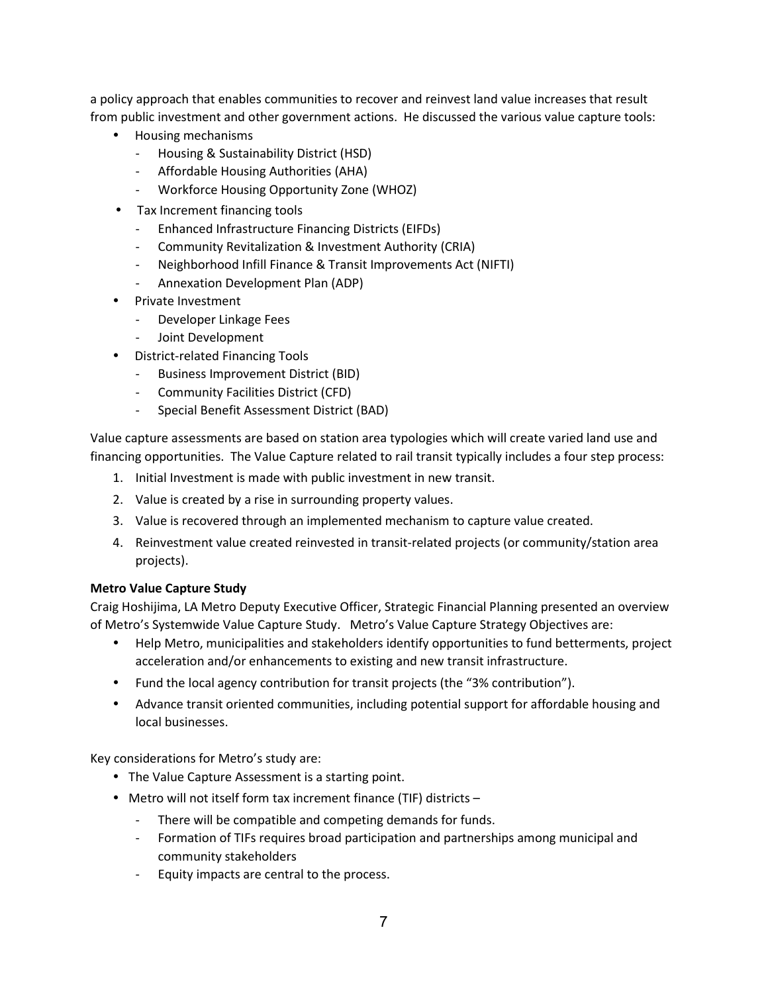a policy approach that enables communities to recover and reinvest land value increases that result from public investment and other government actions. He discussed the various value capture tools:

- Housing mechanisms
	- Housing & Sustainability District (HSD)
	- Affordable Housing Authorities (AHA)
	- Workforce Housing Opportunity Zone (WHOZ)
- Tax Increment financing tools
	- Enhanced Infrastructure Financing Districts (EIFDs)
	- Community Revitalization & Investment Authority (CRIA)
	- Neighborhood Infill Finance & Transit Improvements Act (NIFTI)
	- Annexation Development Plan (ADP)
- Private Investment
	- Developer Linkage Fees
	- Joint Development
- District-related Financing Tools
	- Business Improvement District (BID)
	- Community Facilities District (CFD)
	- Special Benefit Assessment District (BAD)

Value capture assessments are based on station area typologies which will create varied land use and financing opportunities. The Value Capture related to rail transit typically includes a four step process:

- 1. Initial Investment is made with public investment in new transit.
- 2. Value is created by a rise in surrounding property values.
- 3. Value is recovered through an implemented mechanism to capture value created.
- 4. Reinvestment value created reinvested in transit-related projects (or community/station area projects).

#### Metro Value Capture Study

Craig Hoshijima, LA Metro Deputy Executive Officer, Strategic Financial Planning presented an overview of Metro's Systemwide Value Capture Study. Metro's Value Capture Strategy Objectives are:

- Help Metro, municipalities and stakeholders identify opportunities to fund betterments, project acceleration and/or enhancements to existing and new transit infrastructure.
- Fund the local agency contribution for transit projects (the "3% contribution").
- Advance transit oriented communities, including potential support for affordable housing and local businesses.

Key considerations for Metro's study are:

- The Value Capture Assessment is a starting point.
- Metro will not itself form tax increment finance (TIF) districts
	- There will be compatible and competing demands for funds.
	- Formation of TIFs requires broad participation and partnerships among municipal and community stakeholders
	- Equity impacts are central to the process.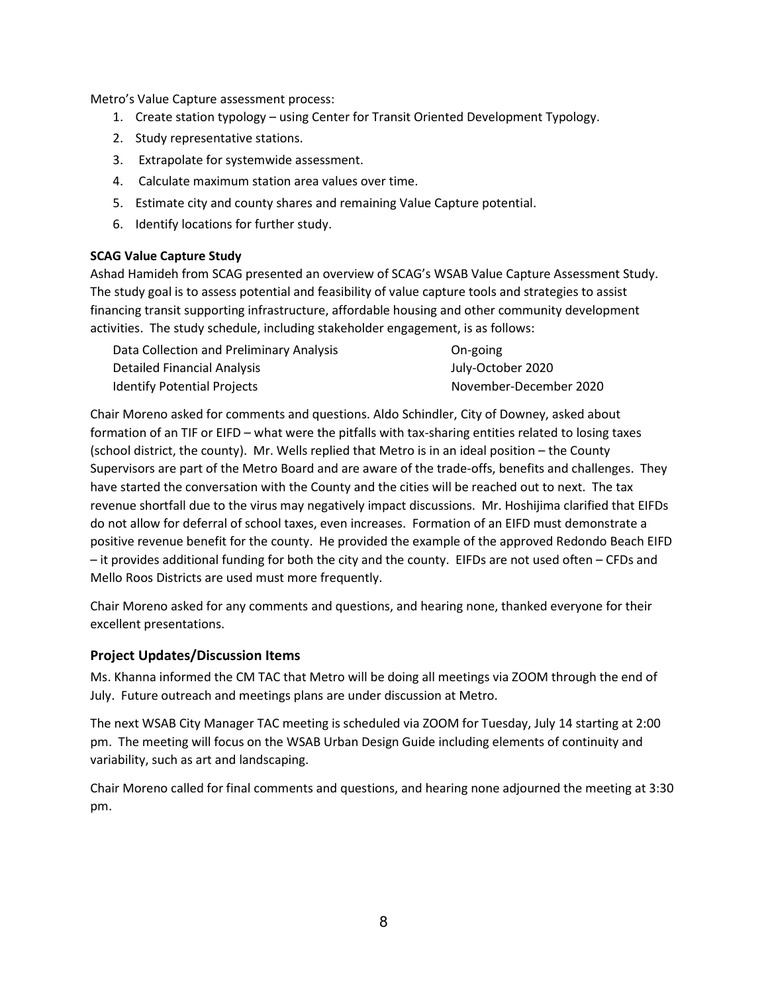Metro's Value Capture assessment process:

- 1. Create station typology using Center for Transit Oriented Development Typology.
- 2. Study representative stations.
- 3. Extrapolate for systemwide assessment.
- 4. Calculate maximum station area values over time.
- 5. Estimate city and county shares and remaining Value Capture potential.
- 6. Identify locations for further study.

#### SCAG Value Capture Study

Ashad Hamideh from SCAG presented an overview of SCAG's WSAB Value Capture Assessment Study. The study goal is to assess potential and feasibility of value capture tools and strategies to assist financing transit supporting infrastructure, affordable housing and other community development activities. The study schedule, including stakeholder engagement, is as follows:

| Data Collection and Preliminary Analysis | On-going               |
|------------------------------------------|------------------------|
| Detailed Financial Analysis              | July-October 2020      |
| <b>Identify Potential Projects</b>       | November-December 2020 |

Chair Moreno asked for comments and questions. Aldo Schindler, City of Downey, asked about formation of an TIF or EIFD – what were the pitfalls with tax-sharing entities related to losing taxes (school district, the county). Mr. Wells replied that Metro is in an ideal position – the County Supervisors are part of the Metro Board and are aware of the trade-offs, benefits and challenges. They have started the conversation with the County and the cities will be reached out to next. The tax revenue shortfall due to the virus may negatively impact discussions. Mr. Hoshijima clarified that EIFDs do not allow for deferral of school taxes, even increases. Formation of an EIFD must demonstrate a positive revenue benefit for the county. He provided the example of the approved Redondo Beach EIFD – it provides additional funding for both the city and the county. EIFDs are not used often – CFDs and Mello Roos Districts are used must more frequently.

Chair Moreno asked for any comments and questions, and hearing none, thanked everyone for their excellent presentations.

## Project Updates/Discussion Items

Ms. Khanna informed the CM TAC that Metro will be doing all meetings via ZOOM through the end of July. Future outreach and meetings plans are under discussion at Metro.

The next WSAB City Manager TAC meeting is scheduled via ZOOM for Tuesday, July 14 starting at 2:00 pm. The meeting will focus on the WSAB Urban Design Guide including elements of continuity and variability, such as art and landscaping.

Chair Moreno called for final comments and questions, and hearing none adjourned the meeting at 3:30 pm.